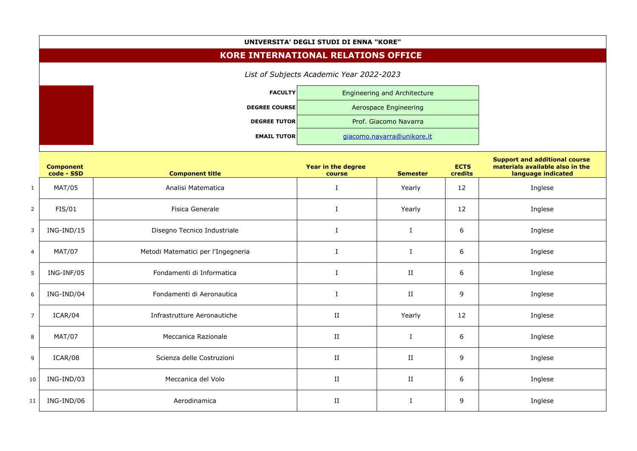## **UNIVERSITA' DEGLI STUDI DI ENNA "KORE"**

## **KORE INTERNATIONAL RELATIONS OFFICE**

*List of Subjects Academic Year 2022-2023* **FACULTY** Engineering and Architecture **DEGREE COURSE Aerospace Engineering DEGREE TUTOR** Prof. Giacomo Navarra **EMAIL TUTOR** [giacomo.navarra@unikore.it](mailto:giacomo.navarra@unikore.it)

## **Support and additional course**

|                | <b>Component</b><br>code - SSD | <b>Component title</b>             | Year in the degree<br>course | <b>Semester</b> | <b>ECTS</b><br>credits | support and additional course<br>materials available also in the<br>language indicated |
|----------------|--------------------------------|------------------------------------|------------------------------|-----------------|------------------------|----------------------------------------------------------------------------------------|
| $\mathbf{1}$   | MAT/05                         | Analisi Matematica                 | I                            | Yearly          | 12                     | Inglese                                                                                |
| $\overline{2}$ | FIS/01                         | Fisica Generale                    | $\bf{I}$                     | Yearly          | 12                     | Inglese                                                                                |
| $\mathbf{3}$   | $ING-IND/15$                   | Disegno Tecnico Industriale        | $\bf I$                      | $\mathbf I$     | 6                      | Inglese                                                                                |
| $\overline{4}$ | <b>MAT/07</b>                  | Metodi Matematici per l'Ingegneria | I                            | $\bf I$         | 6                      | Inglese                                                                                |
| 5              | ING-INF/05                     | Fondamenti di Informatica          | $\bf{I}$                     | II              | 6                      | Inglese                                                                                |
| $6\,$          | ING-IND/04                     | Fondamenti di Aeronautica          | $\mathbf I$                  | $\rm II$        | $\overline{9}$         | Inglese                                                                                |
| $\overline{7}$ | ICAR/04                        | Infrastrutture Aeronautiche        | $\;$ II                      | Yearly          | 12                     | Inglese                                                                                |
| $\bf 8$        | <b>MAT/07</b>                  | Meccanica Razionale                | $\;$ II                      | $\mathbf I$     | 6                      | Inglese                                                                                |
| 9              | ICAR/08                        | Scienza delle Costruzioni          | $\;$ II                      | $\rm II$        | 9                      | Inglese                                                                                |
| 10             | ING-IND/03                     | Meccanica del Volo                 | $\;$ II                      | $\;$ II         | 6                      | Inglese                                                                                |
| 11             | ING-IND/06                     | Aerodinamica                       | $\;$ II                      | $\mathbf I$     | $\mathsf 9$            | Inglese                                                                                |
|                |                                |                                    |                              |                 |                        |                                                                                        |